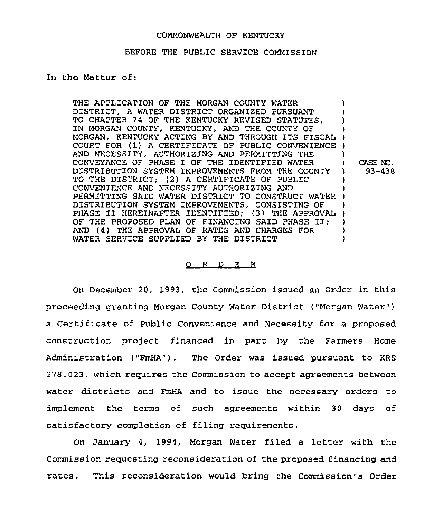#### COMMONWEALTH OF KENTUCKY

#### BEFORE THE PUBLIC SERVICE COMMISSION

In the Matter of:

THE APPLICATION OF THE MORGAN COUNTY WATER DISTRICT, A WATER DISTRICT ORGANIZED PURSUANT TO CHAPTER 74 OF THE KENTUCKY REVISED STATUTES, IN MORGAN COUNTY, KENTUCKY, AND THE COUNTY OF MORGAN, KENTUCKY ACTING BY AND THROUGH ITS FISCAL COURT FOR (1) <sup>A</sup> CERTIFICATE OF PUBLIC CONVENIENCE ) AND NECESSITY, AUTHORIZING AND PERMITTING THE CONVEYANCE OF PHASE I OF THE IDENTIFIED WATER DISTRIBUTION SYSTEM IMPROVEMENTS FROM THE COUNTY TO THE DISTRICT; (2) A CERTIFICATE OF PUBLIC CONVENIENCE AND NECESSITY AUTHORIZING AND CONVENIENCE AND NECESSITI AUTHORIZING AND<br>PERMITTING SAID WATER DISTRICT TO CONSTRUCT WATER ) DISTRIBUTION SYSTEM IMPROVEMENTS, CONSISTING OF DISTRIBUTION SYSTEM IMPROVEMENTS, CONSISTING OF THE APPROVAL OF THE PROPOSED PLAN OF FINANCING SAID PHASE II: AND (4) THE APPROVAL OF RATES AND CHARGES FOR WATER SERVICE SUPPLIED BY THE DISTRICT ) ) ) ) ) ) ) CASE N3. ) 93-438 ) ) ) ) ) )

#### 0 <sup>R</sup> <sup>D</sup> E <sup>R</sup>

On December 20, 1993, the Commission issued an Order in this proceeding granting Morgan County Water District ("Morgan Water" ) a Certificate of Public Convenience and Necessity for a proposed construction project financed in part by the Farmers Home Administration ("FmHA"). The Order was issued pursuant to KRS 278.023, which requires the Commission to accept agreements between water districts and FmHA and to issue the necessary orders to implement the terms of such agreements within 30 days of satisfactory completion of filing requirements.

On January 4, 1994, Morgan Water filed a letter with the Commission requesting reconsideration of the proposed financing and rates. This reconsideration would bring the Commission's Order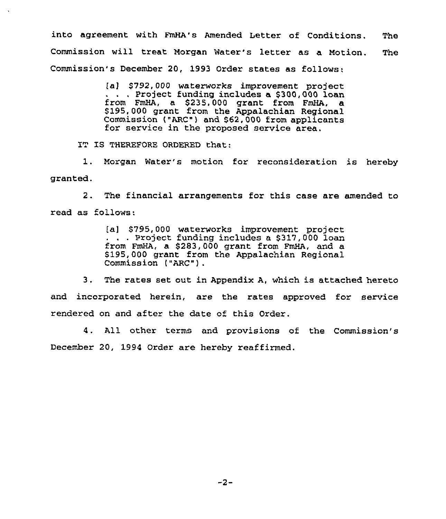into agreement with FmHA's Amended Letter of Conditions. The Commission will treat Morgan Water's letter as a Motion. The Commission's December 20, 1993 Order states as follows:

> [a] \$792,000 waterworks improvement project<br>. . . Project funding includes a \$300,000 loan from FmHA, a 8235,000 grant from FmHA, a \$195,000 grant from the Appalachian Regional Commission ("ARC") and \$62,000 from applicants for service in the proposed service area.

IT IS THEREFORE ORDERED that:

1. Morgan Water's motion for reconsideration is hereby granted.

2. The financial arrangements for this case are amended to read as follows:

> (a) \$795,000 waterworks improvement project<br>. . . Project funding includes a \$317,000 loan from FmHA, a \$283,000 grant from FmHA, and a \$ 195,000 grant from the Appalachian Regional Commission ("ARC").

3, The rates set out in Appendix A, which is attached hereto and incorporated herein, are the rates approved for service rendered on and after the date of this Order.

4. All other terms and provisions of the Commission's December 20, 1994 Order are hereby reaffirmed.

 $-2-$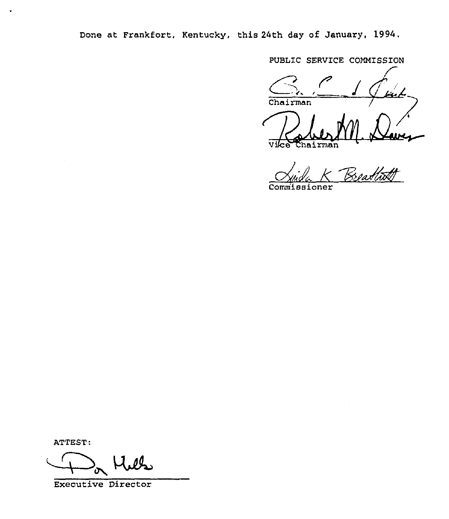Done at Frankfort, Kentucky, this 24th day of January, 1994.

PUBLIC SERVICE COMMISSION

 $Chairman$ RVIC<br>C  $\frac{1}{2}$ )<br>Ce  $hat{r}$ man

Hida K Breathith

ATTEST:

 $\bullet$ 

Executive Director